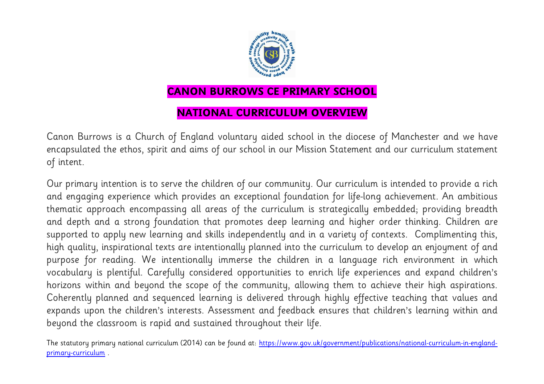

## **CANON BURROWS CE PRIMARY SCHOOL**

## **NATIONAL CURRICULUM OVERVIEW**

Canon Burrows is a Church of England voluntary aided school in the diocese of Manchester and we have encapsulated the ethos, spirit and aims of our school in our Mission Statement and our curriculum statement of intent.

Our primary intention is to serve the children of our community. Our curriculum is intended to provide a rich and engaging experience which provides an exceptional foundation for life-long achievement. An ambitious thematic approach encompassing all areas of the curriculum is strategically embedded; providing breadth and depth and a strong foundation that promotes deep learning and higher order thinking. Children are supported to apply new learning and skills independently and in a variety of contexts. Complimenting this, high quality, inspirational texts are intentionally planned into the curriculum to develop an enjoyment of and purpose for reading. We intentionally immerse the children in a language rich environment in which vocabulary is plentiful. Carefully considered opportunities to enrich life experiences and expand children's horizons within and beyond the scope of the community, allowing them to achieve their high aspirations. Coherently planned and sequenced learning is delivered through highly effective teaching that values and expands upon the children's interests. Assessment and feedback ensures that children's learning within and beyond the classroom is rapid and sustained throughout their life.

The statutory primary national curriculum (2014) can be found at: [https://www.gov.uk/government/publications/national-curriculum-in-england](https://www.gov.uk/government/publications/national-curriculum-in-england-primary-curriculum)[primary-curriculum](https://www.gov.uk/government/publications/national-curriculum-in-england-primary-curriculum) .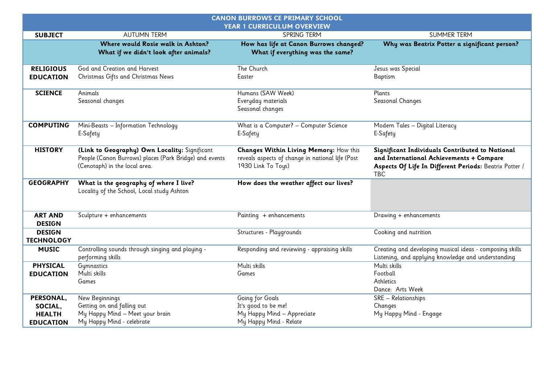| <b>CANON BURROWS CE PRIMARY SCHOOL</b><br>YEAR 1 CURRICULUM OVERVIEW |                                                                                                                                          |                                                                                                                  |                                                                                                                                                               |
|----------------------------------------------------------------------|------------------------------------------------------------------------------------------------------------------------------------------|------------------------------------------------------------------------------------------------------------------|---------------------------------------------------------------------------------------------------------------------------------------------------------------|
| <b>SUBJECT</b>                                                       | <b>AUTUMN TERM</b>                                                                                                                       | SPRING TERM                                                                                                      | <b>SUMMER TERM</b>                                                                                                                                            |
|                                                                      | Where would Rosie walk in Ashton?<br>What if we didn't look after animals?                                                               | How has life at Canon Burrows changed?<br>What if everything was the same?                                       | Why was Beatrix Potter a significant person?                                                                                                                  |
| <b>RELIGIOUS</b><br><b>EDUCATION</b>                                 | God and Creation and Harvest<br>Christmas Gifts and Christmas News                                                                       | The Church<br>Easter                                                                                             | Jesus was Special<br>Baptism                                                                                                                                  |
| <b>SCIENCE</b>                                                       | Animals<br>Seasonal changes                                                                                                              | Humans (SAW Week)<br>Everyday materials<br>Seasonal changes                                                      | Plants<br>Seasonal Changes                                                                                                                                    |
| <b>COMPUTING</b>                                                     | Mini-Beasts - Information Technology<br>E-Safety                                                                                         | What is a Computer? - Computer Science<br>E-Safety                                                               | Modern Tales - Digital Literacy<br>E-Safety                                                                                                                   |
| <b>HISTORY</b>                                                       | (Link to Geography) Own Locality: Significant<br>People (Canon Burrows) places (Park Bridge) and events<br>(Cenotaph) in the local area. | Changes Within Living Memory: How this<br>reveals aspects of change in national life (Post<br>1930 Link To Toys) | Significant Individuals Contributed to National<br>and International Achievements + Compare<br>Aspects Of Life In Different Periods: Beatrix Potter /<br>TBC. |
| <b>GEOGRAPHY</b>                                                     | What is the geography of where I live?<br>Locality of the School, Local study Ashton                                                     | How does the weather affect our lives?                                                                           |                                                                                                                                                               |
| <b>ART AND</b><br><b>DESIGN</b>                                      | Sculpture + enhancements                                                                                                                 | Painting + enhancements                                                                                          | Drawing + enhancements                                                                                                                                        |
| <b>DESIGN</b><br><b>TECHNOLOGY</b>                                   |                                                                                                                                          | Structures - Playgrounds                                                                                         | Cooking and nutrition                                                                                                                                         |
| <b>MUSIC</b>                                                         | Controlling sounds through singing and playing -<br>performing skills                                                                    | Responding and reviewing - appraising skills                                                                     | Creating and developing musical ideas - composing skills<br>Listening, and applying knowledge and understanding                                               |
| <b>PHYSICAL</b><br><b>EDUCATION</b>                                  | Gymnastics<br>Multi skills<br>Games                                                                                                      | Multi skills<br>Games                                                                                            | Multi skills<br>Football<br>Athletics<br>Dance: Arts Week                                                                                                     |
| PERSONAL,<br>SOCIAL,<br><b>HEALTH</b><br><b>EDUCATION</b>            | New Beginnings<br>Getting on and falling out<br>My Happy Mind - Meet your brain<br>My Happy Mind - celebrate                             | Going for Goals<br>It's good to be me!<br>My Happy Mind - Appreciate<br>My Happy Mind - Relate                   | SRE - Relationships<br>Changes<br>My Happy Mind - Engage                                                                                                      |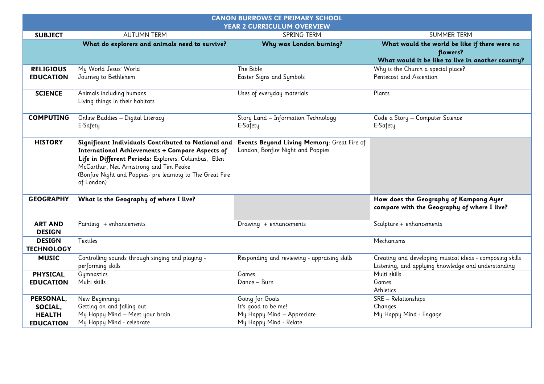| <b>CANON BURROWS CE PRIMARY SCHOOL</b><br><b>YEAR 2 CURRICULUM OVERVIEW</b> |                                                                                                                                                                                                                                                                                        |                                                                                 |                                                                                                                 |  |
|-----------------------------------------------------------------------------|----------------------------------------------------------------------------------------------------------------------------------------------------------------------------------------------------------------------------------------------------------------------------------------|---------------------------------------------------------------------------------|-----------------------------------------------------------------------------------------------------------------|--|
| <b>SUBJECT</b>                                                              | <b>AUTUMN TERM</b>                                                                                                                                                                                                                                                                     | SPRING TERM                                                                     | <b>SUMMER TERM</b>                                                                                              |  |
|                                                                             | What do explorers and animals need to survive?                                                                                                                                                                                                                                         | Why was London burning?                                                         | What would the world be like if there were no<br>flowers?                                                       |  |
|                                                                             |                                                                                                                                                                                                                                                                                        |                                                                                 | What would it be like to live in another country?                                                               |  |
| <b>RELIGIOUS</b>                                                            | My World Jesus' World                                                                                                                                                                                                                                                                  | The Bible                                                                       | Why is the Church a special place?                                                                              |  |
| <b>EDUCATION</b>                                                            | Journey to Bethlehem                                                                                                                                                                                                                                                                   | <b>Easter Signs and Symbols</b>                                                 | Pentecost and Ascention                                                                                         |  |
| <b>SCIENCE</b>                                                              | Animals including humans<br>Living things in their habitats                                                                                                                                                                                                                            | Uses of everyday materials                                                      | Plants                                                                                                          |  |
| <b>COMPUTING</b>                                                            | Online Buddies - Digital Literacy<br>E-Safety                                                                                                                                                                                                                                          | Story Land - Information Technology<br>E-Safety                                 | Code a Story - Computer Science<br>E-Safety                                                                     |  |
| <b>HISTORY</b>                                                              | Significant Individuals Contributed to National and<br>International Achievements + Compare Aspects of<br>Life in Different Periods: Explorers: Columbus, Ellen<br>McCarthur, Neil Armstrong and Tim Peake<br>(Bonfire Night and Poppies- pre learning to The Great Fire<br>of London) | Events Beyond Living Memory: Great Fire of<br>London, Bonfire Night and Poppies |                                                                                                                 |  |
| <b>GEOGRAPHY</b>                                                            | What is the Geography of where I live?                                                                                                                                                                                                                                                 |                                                                                 | How does the Geography of Kampong Ayer<br>compare with the Geography of where I live?                           |  |
| <b>ART AND</b><br><b>DESIGN</b>                                             | Painting + enhancements                                                                                                                                                                                                                                                                | Drawing + enhancements                                                          | Sculpture + enhancements                                                                                        |  |
| <b>DESIGN</b><br><b>TECHNOLOGY</b>                                          | Textiles                                                                                                                                                                                                                                                                               |                                                                                 | Mechanisms                                                                                                      |  |
| <b>MUSIC</b>                                                                | Controlling sounds through singing and playing -<br>performing skills                                                                                                                                                                                                                  | Responding and reviewing - appraising skills                                    | Creating and developing musical ideas - composing skills<br>Listening, and applying knowledge and understanding |  |
| <b>PHYSICAL</b>                                                             | Gymnastics                                                                                                                                                                                                                                                                             | Games                                                                           | Multi skills                                                                                                    |  |
| <b>EDUCATION</b>                                                            | Multi skills                                                                                                                                                                                                                                                                           | Dance - Burn                                                                    | Games<br>Athletics                                                                                              |  |
| PERSONAL,                                                                   | New Beginnings                                                                                                                                                                                                                                                                         | Going for Goals                                                                 | SRE - Relationships                                                                                             |  |
| SOCIAL,                                                                     | Getting on and falling out                                                                                                                                                                                                                                                             | It's good to be me!                                                             | Changes                                                                                                         |  |
| <b>HEALTH</b>                                                               | My Happy Mind - Meet your brain                                                                                                                                                                                                                                                        | My Happy Mind - Appreciate                                                      | My Happy Mind - Engage                                                                                          |  |
| <b>EDUCATION</b>                                                            | My Happy Mind - celebrate                                                                                                                                                                                                                                                              | My Happy Mind - Relate                                                          |                                                                                                                 |  |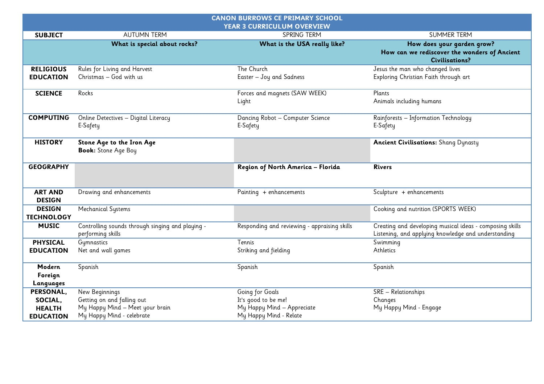| <b>CANON BURROWS CE PRIMARY SCHOOL</b><br><b>YEAR 3 CURRICULUM OVERVIEW</b> |                                                                       |                                              |                                                                                                                 |
|-----------------------------------------------------------------------------|-----------------------------------------------------------------------|----------------------------------------------|-----------------------------------------------------------------------------------------------------------------|
| <b>SUBJECT</b>                                                              | <b>AUTUMN TERM</b>                                                    | SPRING TERM                                  | <b>SUMMER TERM</b>                                                                                              |
|                                                                             | What is special about rocks?                                          | What is the USA really like?                 | How does your garden grow?<br>How can we rediscover the wonders of Ancient<br><b>Civilisations?</b>             |
| <b>RELIGIOUS</b>                                                            | Rules for Living and Harvest                                          | The Church                                   | Jesus the man who changed lives                                                                                 |
| <b>EDUCATION</b>                                                            | Christmas - God with us                                               | Easter - Joy and Sadness                     | Exploring Christian Faith through art                                                                           |
| <b>SCIENCE</b>                                                              | Rocks                                                                 | Forces and magnets (SAW WEEK)                | Plants                                                                                                          |
|                                                                             |                                                                       | Light                                        | Animals including humans                                                                                        |
| <b>COMPUTING</b>                                                            | Online Detectives - Digital Literacy<br>E-Safety                      | Dancing Robot - Computer Science<br>E-Safety | Rainforests - Information Technology<br>E-Safety                                                                |
| <b>HISTORY</b>                                                              | Stone Age to the Iron Age<br><b>Book:</b> Stone Age Boy               |                                              | <b>Ancient Civilisations:</b> Shang Dynasty                                                                     |
| <b>GEOGRAPHY</b>                                                            |                                                                       | Region of North America - Florida            | <b>Rivers</b>                                                                                                   |
| <b>ART AND</b><br><b>DESIGN</b>                                             | Drawing and enhancements                                              | Painting + enhancements                      | Sculpture + enhancements                                                                                        |
| <b>DESIGN</b><br><b>TECHNOLOGY</b>                                          | Mechanical Systems                                                    |                                              | Cooking and nutrition (SPORTS WEEK)                                                                             |
| <b>MUSIC</b>                                                                | Controlling sounds through singing and playing -<br>performing skills | Responding and reviewing - appraising skills | Creating and developing musical ideas - composing skills<br>Listening, and applying knowledge and understanding |
| <b>PHYSICAL</b>                                                             | Gymnastics                                                            | Tennis                                       | Swimming                                                                                                        |
| <b>EDUCATION</b>                                                            | Net and wall games                                                    | Striking and fielding                        | Athletics                                                                                                       |
| Modern                                                                      | Spanish                                                               | Spanish                                      | Spanish                                                                                                         |
| Foreign                                                                     |                                                                       |                                              |                                                                                                                 |
| Languages                                                                   |                                                                       |                                              |                                                                                                                 |
| PERSONAL,                                                                   | New Beginnings                                                        | Going for Goals                              | SRE - Relationships                                                                                             |
| SOCIAL,                                                                     | Getting on and falling out                                            | It's good to be me!                          | Changes                                                                                                         |
| <b>HEALTH</b>                                                               | My Happy Mind - Meet your brain                                       | My Happy Mind - Appreciate                   | My Happy Mind - Engage                                                                                          |
| <b>EDUCATION</b>                                                            | My Happy Mind - celebrate                                             | My Happy Mind - Relate                       |                                                                                                                 |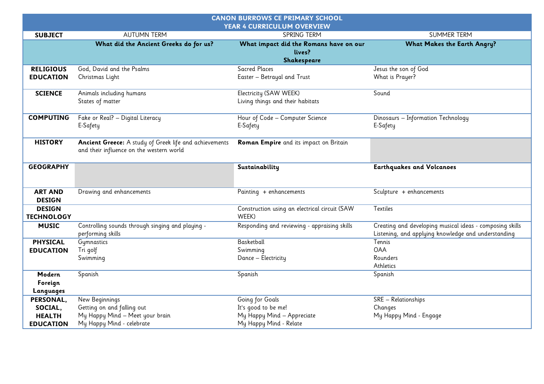| <b>CANON BURROWS CE PRIMARY SCHOOL</b><br>YEAR 4 CURRICULUM OVERVIEW |                                                                                                              |                                                                                                |                                                                                                                 |  |
|----------------------------------------------------------------------|--------------------------------------------------------------------------------------------------------------|------------------------------------------------------------------------------------------------|-----------------------------------------------------------------------------------------------------------------|--|
| <b>SUBJECT</b>                                                       | <b>AUTUMN TERM</b>                                                                                           | <b>SPRING TERM</b>                                                                             | <b>SUMMER TERM</b>                                                                                              |  |
|                                                                      | What did the Ancient Greeks do for us?                                                                       | What impact did the Romans have on our<br>lives?<br>Shakespeare                                | <b>What Makes the Earth Angry?</b>                                                                              |  |
| <b>RELIGIOUS</b><br><b>EDUCATION</b>                                 | God, David and the Psalms<br>Christmas Light                                                                 | Sacred Places<br>Easter - Betrayal and Trust                                                   | Jesus the son of God<br>What is Prayer?                                                                         |  |
| <b>SCIENCE</b>                                                       | Animals including humans<br>States of matter                                                                 | Electricity (SAW WEEK)<br>Living things and their habitats                                     | Sound                                                                                                           |  |
| <b>COMPUTING</b>                                                     | Fake or Real? - Digital Literacy<br>E-Safety                                                                 | Hour of Code - Computer Science<br>E-Safety                                                    | Dinosaurs - Information Technology<br>E-Safety                                                                  |  |
| <b>HISTORY</b>                                                       | Ancient Greece: A study of Greek life and achievements<br>and their influence on the western world           | Roman Empire and its impact on Britain                                                         |                                                                                                                 |  |
| <b>GEOGRAPHY</b>                                                     |                                                                                                              | Sustainability                                                                                 | <b>Earthquakes and Volcanoes</b>                                                                                |  |
| <b>ART AND</b><br><b>DESIGN</b>                                      | Drawing and enhancements                                                                                     | Painting + enhancements                                                                        | Sculpture + enhancements                                                                                        |  |
| <b>DESIGN</b><br><b>TECHNOLOGY</b>                                   |                                                                                                              | Construction using an electrical circuit (SAW<br>WEEK)                                         | Textiles                                                                                                        |  |
| <b>MUSIC</b>                                                         | Controlling sounds through singing and playing -<br>performing skills                                        | Responding and reviewing - appraising skills                                                   | Creating and developing musical ideas - composing skills<br>Listening, and applying knowledge and understanding |  |
| <b>PHYSICAL</b><br><b>EDUCATION</b>                                  | Gymnastics<br>Tri golf<br>Swimming                                                                           | Basketball<br>Swimming<br>Dance - Electricity                                                  | Tennis<br><b>OAA</b><br>Rounders<br>Athletics                                                                   |  |
| Modern<br>Foreign<br>Languages                                       | Spanish                                                                                                      | Spanish                                                                                        | Spanish                                                                                                         |  |
| PERSONAL,<br>SOCIAL,<br><b>HEALTH</b><br><b>EDUCATION</b>            | New Beginnings<br>Getting on and falling out<br>My Happy Mind - Meet your brain<br>My Happy Mind - celebrate | Going for Goals<br>It's good to be me!<br>My Happy Mind - Appreciate<br>My Happy Mind - Relate | SRE - Relationships<br>Changes<br>My Happy Mind - Engage                                                        |  |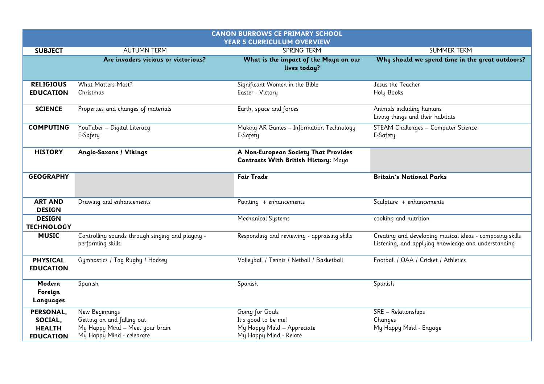|                                                           |                                                                                                              | <b>CANON BURROWS CE PRIMARY SCHOOL</b>                                                         |                                                                                                                 |  |
|-----------------------------------------------------------|--------------------------------------------------------------------------------------------------------------|------------------------------------------------------------------------------------------------|-----------------------------------------------------------------------------------------------------------------|--|
| YEAR 5 CURRICULUM OVERVIEW                                |                                                                                                              |                                                                                                |                                                                                                                 |  |
| <b>SUBJECT</b>                                            | <b>AUTUMN TERM</b>                                                                                           | SPRING TERM                                                                                    | <b>SUMMER TERM</b>                                                                                              |  |
|                                                           | Are invaders vicious or victorious?                                                                          | What is the impact of the Maya on our<br>lives today?                                          | Why should we spend time in the great outdoors?                                                                 |  |
| <b>RELIGIOUS</b><br><b>EDUCATION</b>                      | What Matters Most?<br>Christmas                                                                              | Significant Women in the Bible<br>Easter - Victory                                             | Jesus the Teacher<br>Holy Books                                                                                 |  |
| <b>SCIENCE</b>                                            | Properties and changes of materials                                                                          | Earth, space and forces                                                                        | Animals including humans<br>Living things and their habitats                                                    |  |
| <b>COMPUTING</b>                                          | YouTuber - Digital Literacy<br>E-Safety                                                                      | Making AR Games - Information Technology<br>E-Safety                                           | STEAM Challenges - Computer Science<br>E-Safety                                                                 |  |
| <b>HISTORY</b>                                            | Anglo-Saxons / Vikings                                                                                       | A Non-European Society That Provides<br>Contrasts With British History: Maya                   |                                                                                                                 |  |
| <b>GEOGRAPHY</b>                                          |                                                                                                              | <b>Fair Trade</b>                                                                              | <b>Britain's National Parks</b>                                                                                 |  |
| <b>ART AND</b><br><b>DESIGN</b>                           | Drawing and enhancements                                                                                     | Painting + enhancements                                                                        | Sculpture + enhancements                                                                                        |  |
| <b>DESIGN</b><br><b>TECHNOLOGY</b>                        |                                                                                                              | <b>Mechanical Systems</b>                                                                      | cooking and nutrition                                                                                           |  |
| <b>MUSIC</b>                                              | Controlling sounds through singing and playing -<br>performing skills                                        | Responding and reviewing - appraising skills                                                   | Creating and developing musical ideas - composing skills<br>Listening, and applying knowledge and understanding |  |
| <b>PHYSICAL</b><br><b>EDUCATION</b>                       | Gymnastics / Tag Rugby / Hockey                                                                              | Volleyball / Tennis / Netball / Basketball                                                     | Football / OAA / Cricket / Athletics                                                                            |  |
| Modern<br>Foreign<br>Languages                            | Spanish                                                                                                      | Spanish                                                                                        | Spanish                                                                                                         |  |
| PERSONAL,<br>SOCIAL,<br><b>HEALTH</b><br><b>EDUCATION</b> | New Beginnings<br>Getting on and falling out<br>My Happy Mind - Meet your brain<br>My Happy Mind - celebrate | Going for Goals<br>It's good to be me!<br>My Happy Mind - Appreciate<br>My Happy Mind - Relate | SRE - Relationships<br>Changes<br>My Happy Mind - Engage                                                        |  |